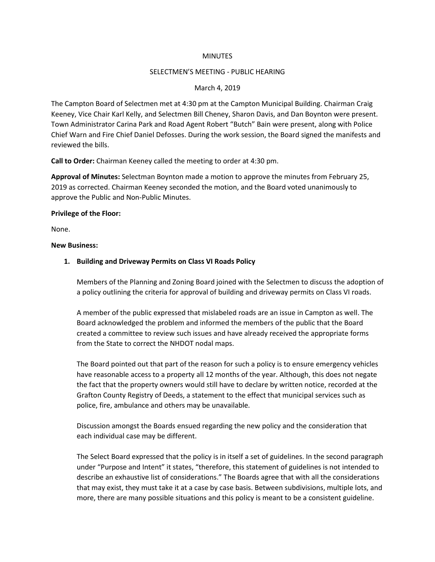### **MINUTES**

### SELECTMEN'S MEETING - PUBLIC HEARING

## March 4, 2019

The Campton Board of Selectmen met at 4:30 pm at the Campton Municipal Building. Chairman Craig Keeney, Vice Chair Karl Kelly, and Selectmen Bill Cheney, Sharon Davis, and Dan Boynton were present. Town Administrator Carina Park and Road Agent Robert "Butch" Bain were present, along with Police Chief Warn and Fire Chief Daniel Defosses. During the work session, the Board signed the manifests and reviewed the bills.

**Call to Order:** Chairman Keeney called the meeting to order at 4:30 pm.

**Approval of Minutes:** Selectman Boynton made a motion to approve the minutes from February 25, 2019 as corrected. Chairman Keeney seconded the motion, and the Board voted unanimously to approve the Public and Non-Public Minutes.

#### **Privilege of the Floor:**

None.

#### **New Business:**

## **1. Building and Driveway Permits on Class VI Roads Policy**

Members of the Planning and Zoning Board joined with the Selectmen to discuss the adoption of a policy outlining the criteria for approval of building and driveway permits on Class VI roads.

A member of the public expressed that mislabeled roads are an issue in Campton as well. The Board acknowledged the problem and informed the members of the public that the Board created a committee to review such issues and have already received the appropriate forms from the State to correct the NHDOT nodal maps.

The Board pointed out that part of the reason for such a policy is to ensure emergency vehicles have reasonable access to a property all 12 months of the year. Although, this does not negate the fact that the property owners would still have to declare by written notice, recorded at the Grafton County Registry of Deeds, a statement to the effect that municipal services such as police, fire, ambulance and others may be unavailable.

Discussion amongst the Boards ensued regarding the new policy and the consideration that each individual case may be different.

The Select Board expressed that the policy is in itself a set of guidelines. In the second paragraph under "Purpose and Intent" it states, "therefore, this statement of guidelines is not intended to describe an exhaustive list of considerations." The Boards agree that with all the considerations that may exist, they must take it at a case by case basis. Between subdivisions, multiple lots, and more, there are many possible situations and this policy is meant to be a consistent guideline.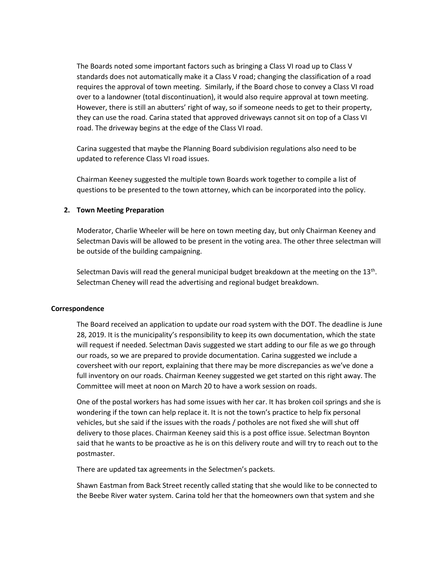The Boards noted some important factors such as bringing a Class VI road up to Class V standards does not automatically make it a Class V road; changing the classification of a road requires the approval of town meeting. Similarly, if the Board chose to convey a Class VI road over to a landowner (total discontinuation), it would also require approval at town meeting. However, there is still an abutters' right of way, so if someone needs to get to their property, they can use the road. Carina stated that approved driveways cannot sit on top of a Class VI road. The driveway begins at the edge of the Class VI road.

Carina suggested that maybe the Planning Board subdivision regulations also need to be updated to reference Class VI road issues.

Chairman Keeney suggested the multiple town Boards work together to compile a list of questions to be presented to the town attorney, which can be incorporated into the policy.

## **2. Town Meeting Preparation**

Moderator, Charlie Wheeler will be here on town meeting day, but only Chairman Keeney and Selectman Davis will be allowed to be present in the voting area. The other three selectman will be outside of the building campaigning.

Selectman Davis will read the general municipal budget breakdown at the meeting on the 13<sup>th</sup>. Selectman Cheney will read the advertising and regional budget breakdown.

## **Correspondence**

The Board received an application to update our road system with the DOT. The deadline is June 28, 2019. It is the municipality's responsibility to keep its own documentation, which the state will request if needed. Selectman Davis suggested we start adding to our file as we go through our roads, so we are prepared to provide documentation. Carina suggested we include a coversheet with our report, explaining that there may be more discrepancies as we've done a full inventory on our roads. Chairman Keeney suggested we get started on this right away. The Committee will meet at noon on March 20 to have a work session on roads.

One of the postal workers has had some issues with her car. It has broken coil springs and she is wondering if the town can help replace it. It is not the town's practice to help fix personal vehicles, but she said if the issues with the roads / potholes are not fixed she will shut off delivery to those places. Chairman Keeney said this is a post office issue. Selectman Boynton said that he wants to be proactive as he is on this delivery route and will try to reach out to the postmaster.

There are updated tax agreements in the Selectmen's packets.

Shawn Eastman from Back Street recently called stating that she would like to be connected to the Beebe River water system. Carina told her that the homeowners own that system and she